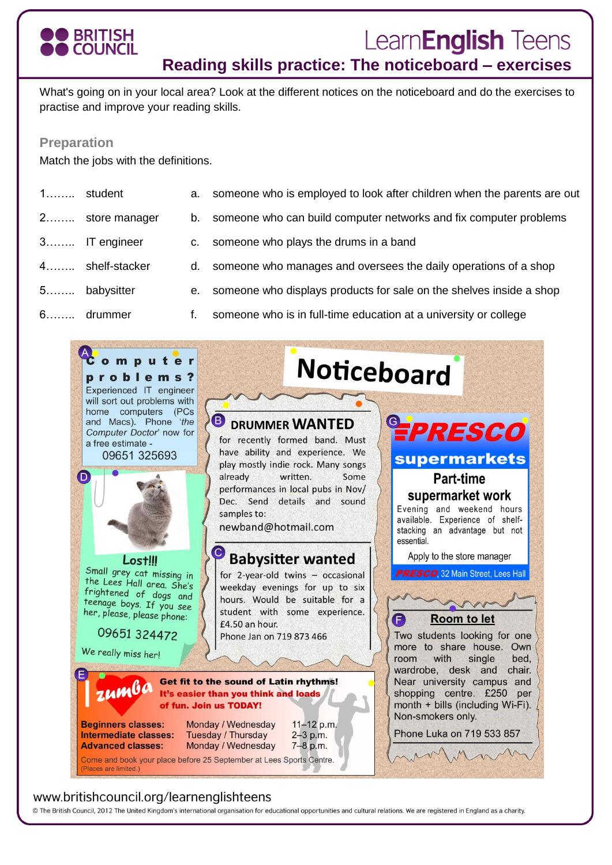### **BRITISH COUNCIL**

# Learn**English** Teens

**Reading skills practice: The noticeboard – exercises**

What's going on in your local area? Look at the different notices on the noticeboard and do the exercises to practise and improve your reading skills.

#### **Preparation**

Match the jobs with the definitions.

- 1…….. student a. someone who is employed to look after children when the parents are out
- 2........ store manager b. someone who can build computer networks and fix computer problems
- 3…….. IT engineer c. someone who plays the drums in a band
- 4…….. shelf-stacker d. someone who manages and oversees the daily operations of a shop
	-
- 5…….. babysitter e. someone who displays products for sale on the shelves inside a shop
- 6…….. drummer f. someone who is in full-time education at a university or college



#### www.britishcouncil.org/learnenglishteens

© The British Council, 2012 The United Kingdom's international organisation for educational opportunities and cultural relations. We are registered in England as a charity.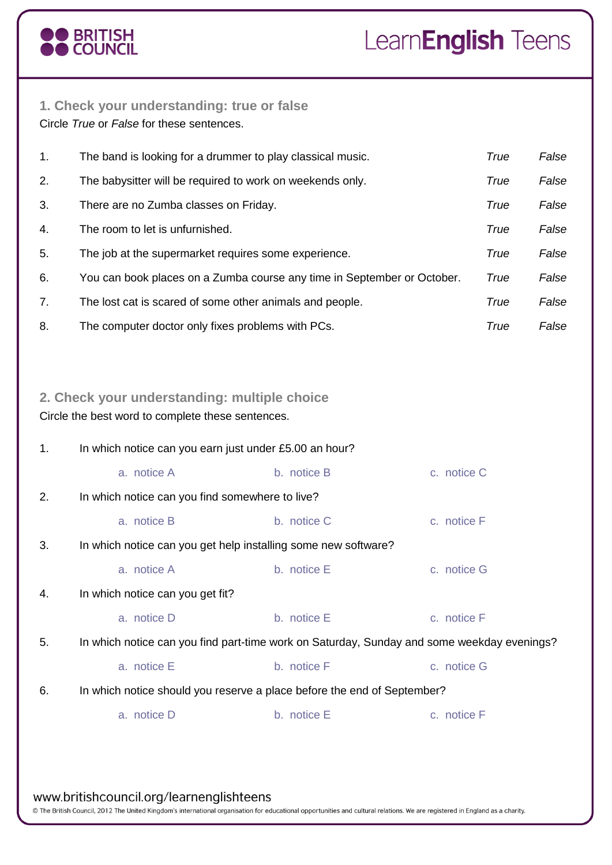# O BRITISH<br>O COUNCIL

## Learn**English** Teens

### **1. Check your understanding: true or false**

Circle *True* or *False* for these sentences.

| $\mathbf{1}$ . | The band is looking for a drummer to play classical music.              | True | False |
|----------------|-------------------------------------------------------------------------|------|-------|
| 2.             | The babysitter will be required to work on weekends only.               | True | False |
| 3.             | There are no Zumba classes on Friday.                                   | True | False |
| 4.             | The room to let is unfurnished.                                         | True | False |
| 5.             | The job at the supermarket requires some experience.                    | True | False |
| 6.             | You can book places on a Zumba course any time in September or October. | True | False |
| 7.             | The lost cat is scared of some other animals and people.                | True | False |
| 8.             | The computer doctor only fixes problems with PCs.                       | True | False |

### **2. Check your understanding: multiple choice**

Circle the best word to complete these sentences.

| 1. | In which notice can you earn just under £5.00 an hour?                                     |             |             |  |  |
|----|--------------------------------------------------------------------------------------------|-------------|-------------|--|--|
|    | a. notice A                                                                                | b. notice B | c. notice C |  |  |
| 2. | In which notice can you find somewhere to live?                                            |             |             |  |  |
|    | a. notice B                                                                                | b. notice C | c. notice F |  |  |
| 3. | In which notice can you get help installing some new software?                             |             |             |  |  |
|    | a. notice A                                                                                | b. notice E | c. notice G |  |  |
| 4. | In which notice can you get fit?                                                           |             |             |  |  |
|    | a. notice D                                                                                | b. notice E | c. notice F |  |  |
| 5. | In which notice can you find part-time work on Saturday, Sunday and some weekday evenings? |             |             |  |  |
|    | a. notice E                                                                                | b. notice F | c. notice G |  |  |
| 6. | In which notice should you reserve a place before the end of September?                    |             |             |  |  |
|    | a. notice D                                                                                | b. notice E | c. notice F |  |  |
|    |                                                                                            |             |             |  |  |
|    |                                                                                            |             |             |  |  |

#### www.britishcouncil.org/learnenglishteens

© The British Council, 2012 The United Kingdom's international organisation for educational opportunities and cultural relations. We are registered in England as a charity.